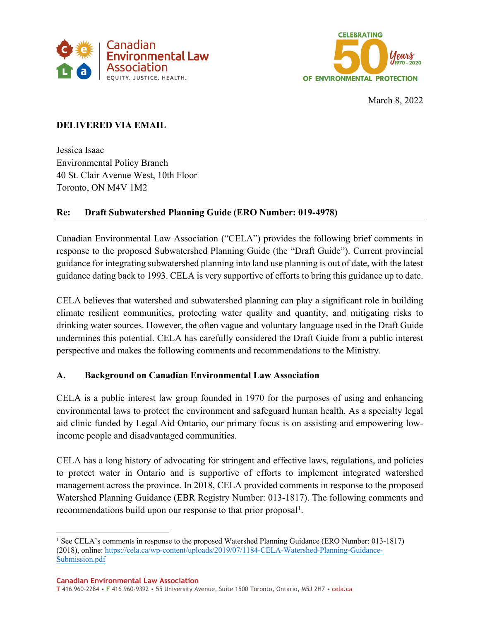



March 8, 2022

# **DELIVERED VIA EMAIL**

Jessica Isaac Environmental Policy Branch 40 St. Clair Avenue West, 10th Floor Toronto, ON M4V 1M2

# **Re: Draft Subwatershed Planning Guide (ERO Number: 019-4978)**

Canadian Environmental Law Association ("CELA") provides the following brief comments in response to the proposed Subwatershed Planning Guide (the "Draft Guide"). Current provincial guidance for integrating subwatershed planning into land use planning is out of date, with the latest guidance dating back to 1993. CELA is very supportive of efforts to bring this guidance up to date.

CELA believes that watershed and subwatershed planning can play a significant role in building climate resilient communities, protecting water quality and quantity, and mitigating risks to drinking water sources. However, the often vague and voluntary language used in the Draft Guide undermines this potential. CELA has carefully considered the Draft Guide from a public interest perspective and makes the following comments and recommendations to the Ministry.

# **A. Background on Canadian Environmental Law Association**

CELA is a public interest law group founded in 1970 for the purposes of using and enhancing environmental laws to protect the environment and safeguard human health. As a specialty legal aid clinic funded by Legal Aid Ontario, our primary focus is on assisting and empowering lowincome people and disadvantaged communities.

CELA has a long history of advocating for stringent and effective laws, regulations, and policies to protect water in Ontario and is supportive of efforts to implement integrated watershed management across the province. In 2018, CELA provided comments in response to the proposed Watershed Planning Guidance (EBR Registry Number: 013-1817). The following comments and recommendations build upon our response to that prior proposal<sup>1</sup>.

<sup>1</sup> See CELA's comments in response to the proposed Watershed Planning Guidance (ERO Number: 013-1817) (2018), online: https://cela.ca/wp-content/uploads/2019/07/1184-CELA-Watershed-Planning-Guidance-Submission.pdf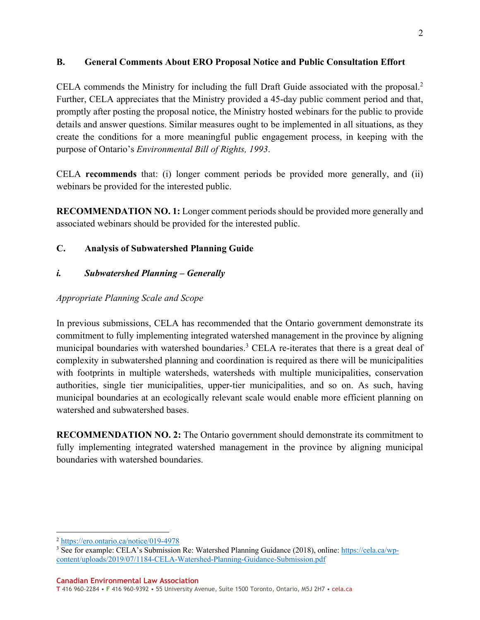#### **B. General Comments About ERO Proposal Notice and Public Consultation Effort**

CELA commends the Ministry for including the full Draft Guide associated with the proposal. 2 Further, CELA appreciates that the Ministry provided a 45-day public comment period and that, promptly after posting the proposal notice, the Ministry hosted webinars for the public to provide details and answer questions. Similar measures ought to be implemented in all situations, as they create the conditions for a more meaningful public engagement process, in keeping with the purpose of Ontario's *Environmental Bill of Rights, 1993*.

CELA **recommends** that: (i) longer comment periods be provided more generally, and (ii) webinars be provided for the interested public.

**RECOMMENDATION NO. 1:** Longer comment periods should be provided more generally and associated webinars should be provided for the interested public.

## **C. Analysis of Subwatershed Planning Guide**

## *i. Subwatershed Planning – Generally*

#### *Appropriate Planning Scale and Scope*

In previous submissions, CELA has recommended that the Ontario government demonstrate its commitment to fully implementing integrated watershed management in the province by aligning municipal boundaries with watershed boundaries.<sup>3</sup> CELA re-iterates that there is a great deal of complexity in subwatershed planning and coordination is required as there will be municipalities with footprints in multiple watersheds, watersheds with multiple municipalities, conservation authorities, single tier municipalities, upper-tier municipalities, and so on. As such, having municipal boundaries at an ecologically relevant scale would enable more efficient planning on watershed and subwatershed bases.

**RECOMMENDATION NO. 2:** The Ontario government should demonstrate its commitment to fully implementing integrated watershed management in the province by aligning municipal boundaries with watershed boundaries.

<sup>2</sup> https://ero.ontario.ca/notice/019-4978

<sup>3</sup> See for example: CELA's Submission Re: Watershed Planning Guidance (2018), online: https://cela.ca/wpcontent/uploads/2019/07/1184-CELA-Watershed-Planning-Guidance-Submission.pdf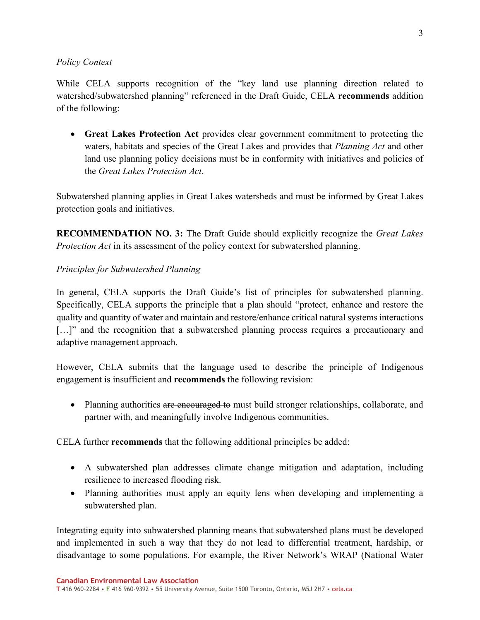#### *Policy Context*

While CELA supports recognition of the "key land use planning direction related to watershed/subwatershed planning" referenced in the Draft Guide, CELA **recommends** addition of the following:

• **Great Lakes Protection Act** provides clear government commitment to protecting the waters, habitats and species of the Great Lakes and provides that *Planning Act* and other land use planning policy decisions must be in conformity with initiatives and policies of the *Great Lakes Protection Act*.

Subwatershed planning applies in Great Lakes watersheds and must be informed by Great Lakes protection goals and initiatives.

**RECOMMENDATION NO. 3:** The Draft Guide should explicitly recognize the *Great Lakes Protection Act* in its assessment of the policy context for subwatershed planning.

## *Principles for Subwatershed Planning*

In general, CELA supports the Draft Guide's list of principles for subwatershed planning. Specifically, CELA supports the principle that a plan should "protect, enhance and restore the quality and quantity of water and maintain and restore/enhance critical natural systems interactions [...]" and the recognition that a subwatershed planning process requires a precautionary and adaptive management approach.

However, CELA submits that the language used to describe the principle of Indigenous engagement is insufficient and **recommends** the following revision:

• Planning authorities are encouraged to must build stronger relationships, collaborate, and partner with, and meaningfully involve Indigenous communities.

CELA further **recommends** that the following additional principles be added:

- A subwatershed plan addresses climate change mitigation and adaptation, including resilience to increased flooding risk.
- Planning authorities must apply an equity lens when developing and implementing a subwatershed plan.

Integrating equity into subwatershed planning means that subwatershed plans must be developed and implemented in such a way that they do not lead to differential treatment, hardship, or disadvantage to some populations. For example, the River Network's WRAP (National Water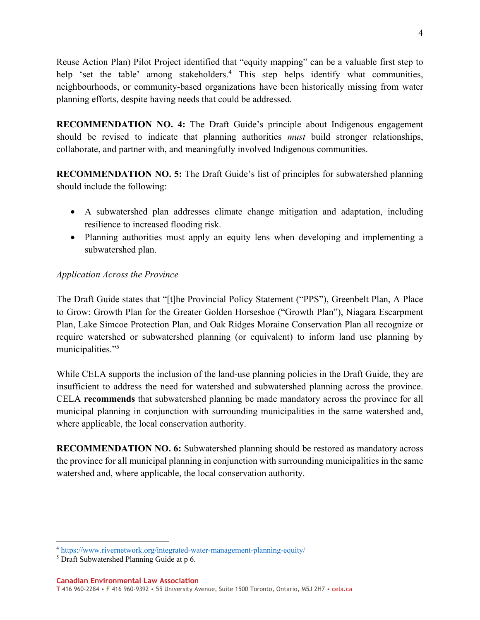Reuse Action Plan) Pilot Project identified that "equity mapping" can be a valuable first step to help 'set the table' among stakeholders.<sup>4</sup> This step helps identify what communities, neighbourhoods, or community-based organizations have been historically missing from water planning efforts, despite having needs that could be addressed.

**RECOMMENDATION NO. 4:** The Draft Guide's principle about Indigenous engagement should be revised to indicate that planning authorities *must* build stronger relationships, collaborate, and partner with, and meaningfully involved Indigenous communities.

**RECOMMENDATION NO. 5:** The Draft Guide's list of principles for subwatershed planning should include the following:

- A subwatershed plan addresses climate change mitigation and adaptation, including resilience to increased flooding risk.
- Planning authorities must apply an equity lens when developing and implementing a subwatershed plan.

## *Application Across the Province*

The Draft Guide states that "[t]he Provincial Policy Statement ("PPS"), Greenbelt Plan, A Place to Grow: Growth Plan for the Greater Golden Horseshoe ("Growth Plan"), Niagara Escarpment Plan, Lake Simcoe Protection Plan, and Oak Ridges Moraine Conservation Plan all recognize or require watershed or subwatershed planning (or equivalent) to inform land use planning by municipalities."5

While CELA supports the inclusion of the land-use planning policies in the Draft Guide, they are insufficient to address the need for watershed and subwatershed planning across the province. CELA **recommends** that subwatershed planning be made mandatory across the province for all municipal planning in conjunction with surrounding municipalities in the same watershed and, where applicable, the local conservation authority.

**RECOMMENDATION NO. 6:** Subwatershed planning should be restored as mandatory across the province for all municipal planning in conjunction with surrounding municipalities in the same watershed and, where applicable, the local conservation authority.

<sup>4</sup> https://www.rivernetwork.org/integrated-water-management-planning-equity/

<sup>5</sup> Draft Subwatershed Planning Guide at p 6.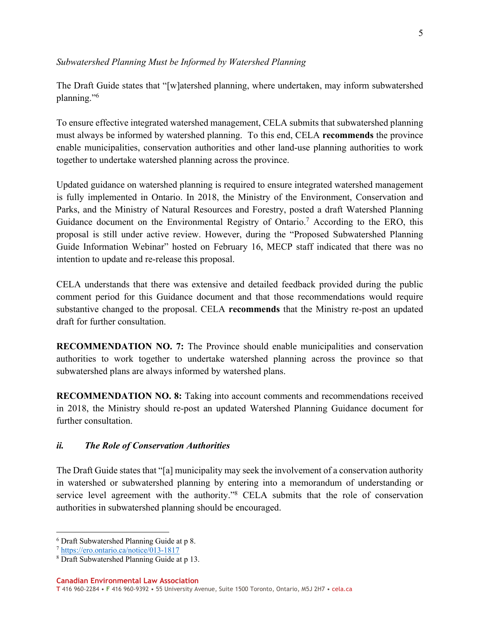#### *Subwatershed Planning Must be Informed by Watershed Planning*

The Draft Guide states that "[w]atershed planning, where undertaken, may inform subwatershed planning."6

To ensure effective integrated watershed management, CELA submits that subwatershed planning must always be informed by watershed planning. To this end, CELA **recommends** the province enable municipalities, conservation authorities and other land-use planning authorities to work together to undertake watershed planning across the province.

Updated guidance on watershed planning is required to ensure integrated watershed management is fully implemented in Ontario. In 2018, the Ministry of the Environment, Conservation and Parks, and the Ministry of Natural Resources and Forestry, posted a draft Watershed Planning Guidance document on the Environmental Registry of Ontario.<sup>7</sup> According to the ERO, this proposal is still under active review. However, during the "Proposed Subwatershed Planning Guide Information Webinar" hosted on February 16, MECP staff indicated that there was no intention to update and re-release this proposal.

CELA understands that there was extensive and detailed feedback provided during the public comment period for this Guidance document and that those recommendations would require substantive changed to the proposal. CELA **recommends** that the Ministry re-post an updated draft for further consultation.

**RECOMMENDATION NO. 7:** The Province should enable municipalities and conservation authorities to work together to undertake watershed planning across the province so that subwatershed plans are always informed by watershed plans.

**RECOMMENDATION NO. 8:** Taking into account comments and recommendations received in 2018, the Ministry should re-post an updated Watershed Planning Guidance document for further consultation.

#### *ii. The Role of Conservation Authorities*

The Draft Guide states that "[a] municipality may seek the involvement of a conservation authority in watershed or subwatershed planning by entering into a memorandum of understanding or service level agreement with the authority."<sup>8</sup> CELA submits that the role of conservation authorities in subwatershed planning should be encouraged.

<sup>6</sup> Draft Subwatershed Planning Guide at p 8.

<sup>7</sup> https://ero.ontario.ca/notice/013-1817

<sup>8</sup> Draft Subwatershed Planning Guide at p 13.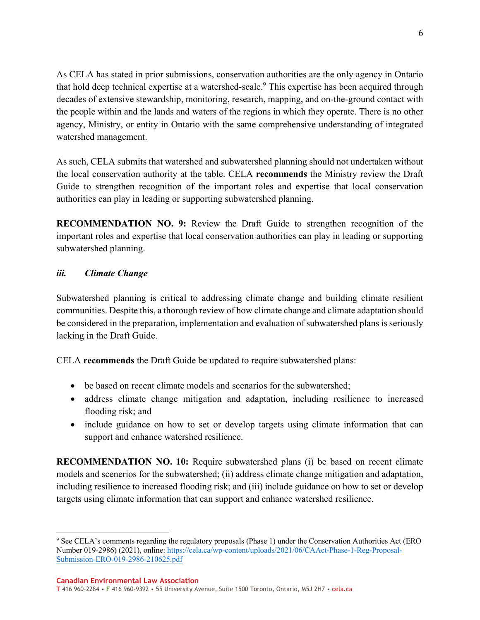6

As CELA has stated in prior submissions, conservation authorities are the only agency in Ontario that hold deep technical expertise at a watershed-scale.<sup>9</sup> This expertise has been acquired through decades of extensive stewardship, monitoring, research, mapping, and on‐the‐ground contact with the people within and the lands and waters of the regions in which they operate. There is no other agency, Ministry, or entity in Ontario with the same comprehensive understanding of integrated watershed management.

As such, CELA submits that watershed and subwatershed planning should not undertaken without the local conservation authority at the table. CELA **recommends** the Ministry review the Draft Guide to strengthen recognition of the important roles and expertise that local conservation authorities can play in leading or supporting subwatershed planning.

**RECOMMENDATION NO. 9:** Review the Draft Guide to strengthen recognition of the important roles and expertise that local conservation authorities can play in leading or supporting subwatershed planning.

## *iii. Climate Change*

Subwatershed planning is critical to addressing climate change and building climate resilient communities. Despite this, a thorough review of how climate change and climate adaptation should be considered in the preparation, implementation and evaluation of subwatershed plans is seriously lacking in the Draft Guide.

CELA **recommends** the Draft Guide be updated to require subwatershed plans:

- be based on recent climate models and scenarios for the subwatershed:
- address climate change mitigation and adaptation, including resilience to increased flooding risk; and
- include guidance on how to set or develop targets using climate information that can support and enhance watershed resilience.

**RECOMMENDATION NO. 10:** Require subwatershed plans (i) be based on recent climate models and scenerios for the subwatershed; (ii) address climate change mitigation and adaptation, including resilience to increased flooding risk; and (iii) include guidance on how to set or develop targets using climate information that can support and enhance watershed resilience.

<sup>9</sup> See CELA's comments regarding the regulatory proposals (Phase 1) under the Conservation Authorities Act (ERO Number 019‐2986) (2021), online: https://cela.ca/wp-content/uploads/2021/06/CAAct-Phase-1-Reg-Proposal-Submission-ERO-019-2986-210625.pdf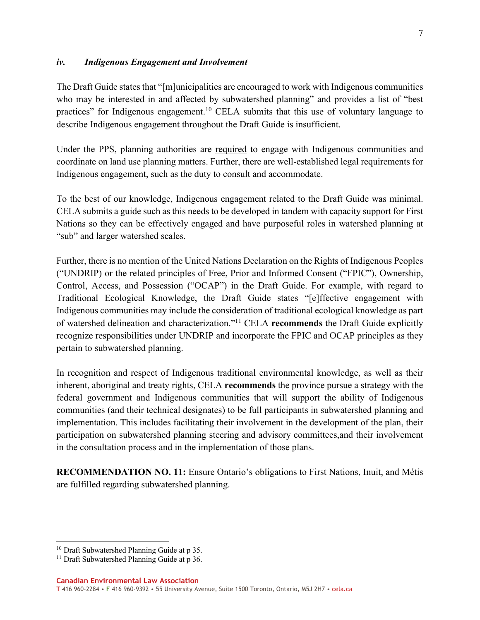#### *iv. Indigenous Engagement and Involvement*

The Draft Guide states that "[m]unicipalities are encouraged to work with Indigenous communities who may be interested in and affected by subwatershed planning" and provides a list of "best practices" for Indigenous engagement.<sup>10</sup> CELA submits that this use of voluntary language to describe Indigenous engagement throughout the Draft Guide is insufficient.

Under the PPS, planning authorities are required to engage with Indigenous communities and coordinate on land use planning matters. Further, there are well-established legal requirements for Indigenous engagement, such as the duty to consult and accommodate.

To the best of our knowledge, Indigenous engagement related to the Draft Guide was minimal. CELA submits a guide such as this needs to be developed in tandem with capacity support for First Nations so they can be effectively engaged and have purposeful roles in watershed planning at "sub" and larger watershed scales.

Further, there is no mention of the United Nations Declaration on the Rights of Indigenous Peoples ("UNDRIP) or the related principles of Free, Prior and Informed Consent ("FPIC"), Ownership, Control, Access, and Possession ("OCAP") in the Draft Guide. For example, with regard to Traditional Ecological Knowledge, the Draft Guide states "[e]ffective engagement with Indigenous communities may include the consideration of traditional ecological knowledge as part of watershed delineation and characterization."11 CELA **recommends** the Draft Guide explicitly recognize responsibilities under UNDRIP and incorporate the FPIC and OCAP principles as they pertain to subwatershed planning.

In recognition and respect of Indigenous traditional environmental knowledge, as well as their inherent, aboriginal and treaty rights, CELA **recommends** the province pursue a strategy with the federal government and Indigenous communities that will support the ability of Indigenous communities (and their technical designates) to be full participants in subwatershed planning and implementation. This includes facilitating their involvement in the development of the plan, their participation on subwatershed planning steering and advisory committees,and their involvement in the consultation process and in the implementation of those plans.

**RECOMMENDATION NO. 11:** Ensure Ontario's obligations to First Nations, Inuit, and Métis are fulfilled regarding subwatershed planning.

<sup>&</sup>lt;sup>10</sup> Draft Subwatershed Planning Guide at p 35.

<sup>&</sup>lt;sup>11</sup> Draft Subwatershed Planning Guide at p 36.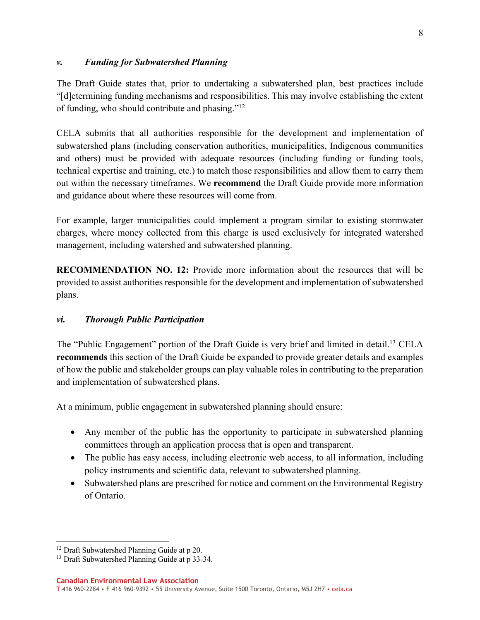#### *v. Funding for Subwatershed Planning*

The Draft Guide states that, prior to undertaking a subwatershed plan, best practices include "[d]etermining funding mechanisms and responsibilities. This may involve establishing the extent of funding, who should contribute and phasing."12

CELA submits that all authorities responsible for the development and implementation of subwatershed plans (including conservation authorities, municipalities, Indigenous communities and others) must be provided with adequate resources (including funding or funding tools, technical expertise and training, etc.) to match those responsibilities and allow them to carry them out within the necessary timeframes. We **recommend** the Draft Guide provide more information and guidance about where these resources will come from.

For example, larger municipalities could implement a program similar to existing stormwater charges, where money collected from this charge is used exclusively for integrated watershed management, including watershed and subwatershed planning.

**RECOMMENDATION NO. 12:** Provide more information about the resources that will be provided to assist authorities responsible for the development and implementation of subwatershed plans.

## *vi. Thorough Public Participation*

The "Public Engagement" portion of the Draft Guide is very brief and limited in detail.<sup>13</sup> CELA **recommends** this section of the Draft Guide be expanded to provide greater details and examples of how the public and stakeholder groups can play valuable roles in contributing to the preparation and implementation of subwatershed plans.

At a minimum, public engagement in subwatershed planning should ensure:

- Any member of the public has the opportunity to participate in subwatershed planning committees through an application process that is open and transparent.
- The public has easy access, including electronic web access, to all information, including policy instruments and scientific data, relevant to subwatershed planning.
- Subwatershed plans are prescribed for notice and comment on the Environmental Registry of Ontario.

<sup>&</sup>lt;sup>12</sup> Draft Subwatershed Planning Guide at p 20.

<sup>&</sup>lt;sup>13</sup> Draft Subwatershed Planning Guide at p 33-34.